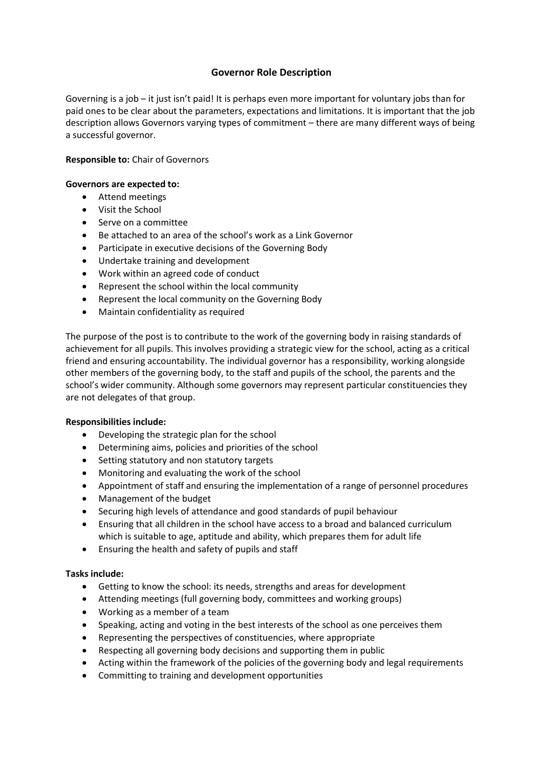## **Governor Role Description**

Governing is a job – it just isn't paid! It is perhaps even more important for voluntary jobs than for paid ones to be clear about the parameters, expectations and limitations. It is important that the job description allows Governors varying types of commitment – there are many different ways of being a successful governor.

## **Responsible to:** Chair of Governors

#### **Governors are expected to:**

- Attend meetings
- Visit the School
- Serve on a committee
- Be attached to an area of the school's work as a Link Governor
- Participate in executive decisions of the Governing Body
- Undertake training and development
- Work within an agreed code of conduct
- Represent the school within the local community
- Represent the local community on the Governing Body
- Maintain confidentiality as required

The purpose of the post is to contribute to the work of the governing body in raising standards of achievement for all pupils. This involves providing a strategic view for the school, acting as a critical friend and ensuring accountability. The individual governor has a responsibility, working alongside other members of the governing body, to the staff and pupils of the school, the parents and the school's wider community. Although some governors may represent particular constituencies they are not delegates of that group.

#### **Responsibilities include:**

- Developing the strategic plan for the school
- Determining aims, policies and priorities of the school
- Setting statutory and non statutory targets
- Monitoring and evaluating the work of the school
- Appointment of staff and ensuring the implementation of a range of personnel procedures
- Management of the budget
- Securing high levels of attendance and good standards of pupil behaviour
- Ensuring that all children in the school have access to a broad and balanced curriculum which is suitable to age, aptitude and ability, which prepares them for adult life
- Ensuring the health and safety of pupils and staff

#### **Tasks include:**

- Getting to know the school: its needs, strengths and areas for development
- Attending meetings (full governing body, committees and working groups)
- Working as a member of a team
- Speaking, acting and voting in the best interests of the school as one perceives them
- Representing the perspectives of constituencies, where appropriate
- Respecting all governing body decisions and supporting them in public
- Acting within the framework of the policies of the governing body and legal requirements
- Committing to training and development opportunities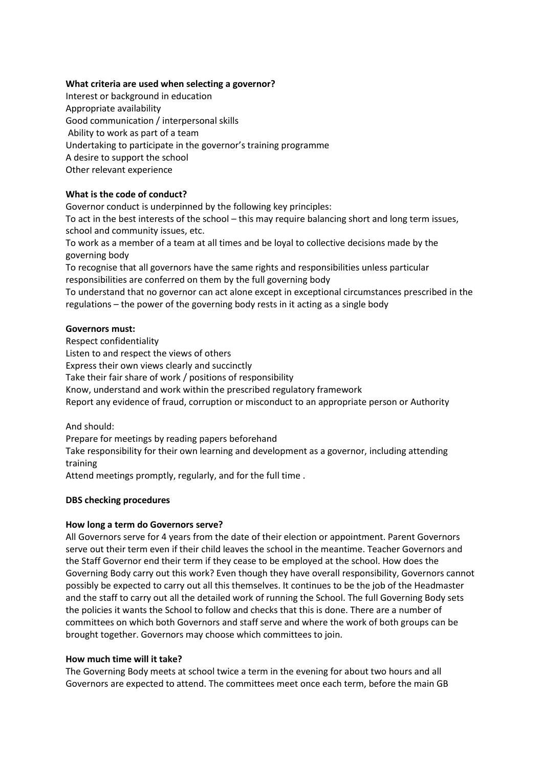## **What criteria are used when selecting a governor?**

Interest or background in education Appropriate availability Good communication / interpersonal skills Ability to work as part of a team Undertaking to participate in the governor's training programme A desire to support the school Other relevant experience

## **What is the code of conduct?**

Governor conduct is underpinned by the following key principles:

To act in the best interests of the school – this may require balancing short and long term issues, school and community issues, etc.

To work as a member of a team at all times and be loyal to collective decisions made by the governing body

To recognise that all governors have the same rights and responsibilities unless particular responsibilities are conferred on them by the full governing body

To understand that no governor can act alone except in exceptional circumstances prescribed in the regulations – the power of the governing body rests in it acting as a single body

## **Governors must:**

Respect confidentiality Listen to and respect the views of others Express their own views clearly and succinctly Take their fair share of work / positions of responsibility Know, understand and work within the prescribed regulatory framework Report any evidence of fraud, corruption or misconduct to an appropriate person or Authority

And should:

Prepare for meetings by reading papers beforehand

Take responsibility for their own learning and development as a governor, including attending training

Attend meetings promptly, regularly, and for the full time .

## **DBS checking procedures**

## **How long a term do Governors serve?**

All Governors serve for 4 years from the date of their election or appointment. Parent Governors serve out their term even if their child leaves the school in the meantime. Teacher Governors and the Staff Governor end their term if they cease to be employed at the school. How does the Governing Body carry out this work? Even though they have overall responsibility, Governors cannot possibly be expected to carry out all this themselves. It continues to be the job of the Headmaster and the staff to carry out all the detailed work of running the School. The full Governing Body sets the policies it wants the School to follow and checks that this is done. There are a number of committees on which both Governors and staff serve and where the work of both groups can be brought together. Governors may choose which committees to join.

#### **How much time will it take?**

The Governing Body meets at school twice a term in the evening for about two hours and all Governors are expected to attend. The committees meet once each term, before the main GB